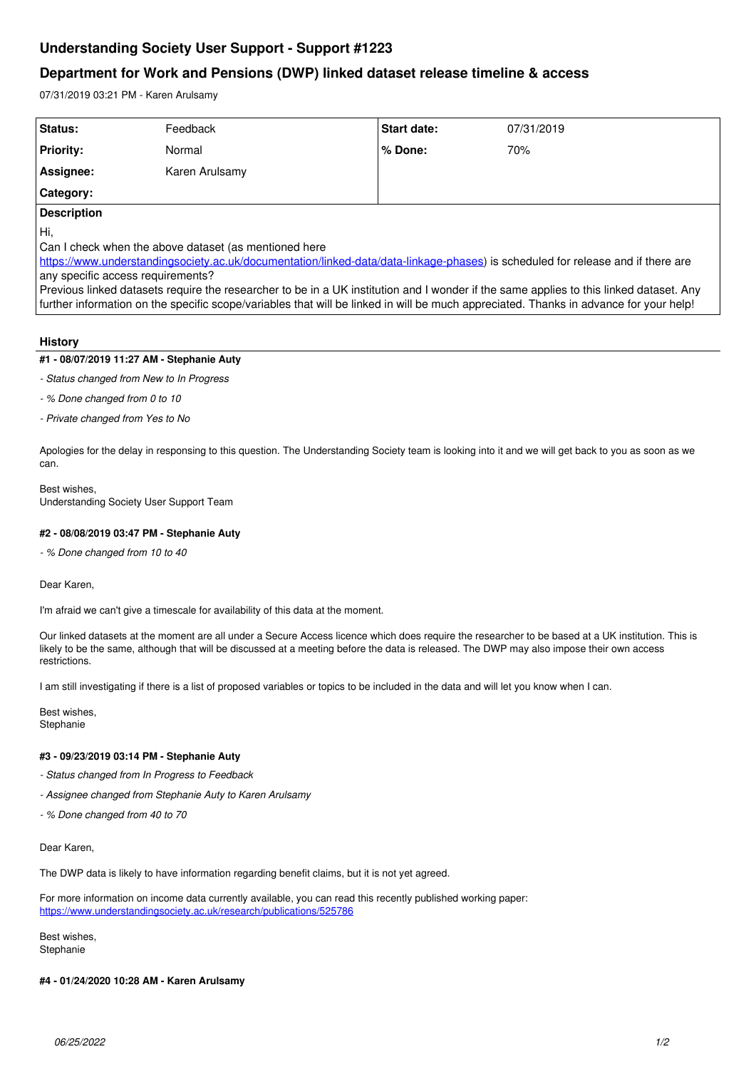# **Understanding Society User Support - Support #1223**

## **Department for Work and Pensions (DWP) linked dataset release timeline & access**

07/31/2019 03:21 PM - Karen Arulsamy

| Status:                                                                                                                         | Feedback       | <b>Start date:</b> | 07/31/2019 |
|---------------------------------------------------------------------------------------------------------------------------------|----------------|--------------------|------------|
| <b>Priority:</b>                                                                                                                | Normal         | % Done:            | 70%        |
| Assignee:                                                                                                                       | Karen Arulsamy |                    |            |
| <b>Category:</b>                                                                                                                |                |                    |            |
| <b>Description</b>                                                                                                              |                |                    |            |
| ĮНi,                                                                                                                            |                |                    |            |
| Can I check when the above dataset (as mentioned here                                                                           |                |                    |            |
| https://www.understandingsociety.ac.uk/documentation/linked-data/data-linkage-phases) is scheduled for release and if there are |                |                    |            |
| any specific access requirements?                                                                                               |                |                    |            |

Previous linked datasets require the researcher to be in a UK institution and I wonder if the same applies to this linked dataset. Any further information on the specific scope/variables that will be linked in will be much appreciated. Thanks in advance for your help!

### **History**

## **#1 - 08/07/2019 11:27 AM - Stephanie Auty**

*- Status changed from New to In Progress*

*- % Done changed from 0 to 10*

*- Private changed from Yes to No*

Apologies for the delay in responsing to this question. The Understanding Society team is looking into it and we will get back to you as soon as we can.

#### Best wishes, Understanding Society User Support Team

## **#2 - 08/08/2019 03:47 PM - Stephanie Auty**

*- % Done changed from 10 to 40*

Dear Karen,

I'm afraid we can't give a timescale for availability of this data at the moment.

Our linked datasets at the moment are all under a Secure Access licence which does require the researcher to be based at a UK institution. This is likely to be the same, although that will be discussed at a meeting before the data is released. The DWP may also impose their own access restrictions.

I am still investigating if there is a list of proposed variables or topics to be included in the data and will let you know when I can.

Best wishes, **Stephanie** 

### **#3 - 09/23/2019 03:14 PM - Stephanie Auty**

*- Status changed from In Progress to Feedback*

- *Assignee changed from Stephanie Auty to Karen Arulsamy*
- *% Done changed from 40 to 70*

Dear Karen,

The DWP data is likely to have information regarding benefit claims, but it is not yet agreed.

For more information on income data currently available, you can read this recently published working paper: <https://www.understandingsociety.ac.uk/research/publications/525786>

Best wishes, **Stephanie** 

#### **#4 - 01/24/2020 10:28 AM - Karen Arulsamy**